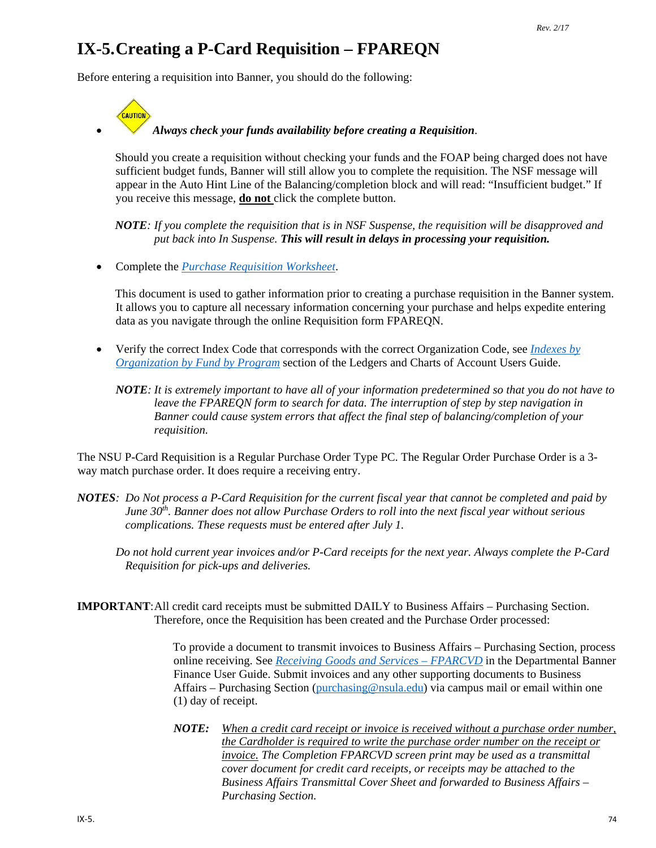# **IX-5.Creating a P-Card Requisition – FPAREQN**

Before entering a requisition into Banner, you should do the following:



#### • *Always check your funds availability before creating a Requisition*.

Should you create a requisition without checking your funds and the FOAP being charged does not have sufficient budget funds, Banner will still allow you to complete the requisition. The NSF message will appear in the Auto Hint Line of the Balancing/completion block and will read: "Insufficient budget." If you receive this message, **do not** click the complete button.

*NOTE: If you complete the requisition that is in NSF Suspense, the requisition will be disapproved and put back into In Suspense. This will result in delays in processing your requisition.*

• Complete the *[Purchase Requisition Worksheet](http://businessaffairs.nsula.edu/assets/banner/User-Docs-Forms--Attachments/G.-Purchasing/8.-Banner-Requisition-Worksheet.pdf)*.

This document is used to gather information prior to creating a purchase requisition in the Banner system. It allows you to capture all necessary information concerning your purchase and helps expedite entering data as you navigate through the online Requisition form FPAREQN.

- Verify the correct Index Code that corresponds with the correct Organization Code, see *[Indexes by](http://businessaffairs.nsula.edu/ii-banner-finance-ledgers-and-chart-of-accounts/)  [Organization by Fund by Program](http://businessaffairs.nsula.edu/ii-banner-finance-ledgers-and-chart-of-accounts/)* section of the Ledgers and Charts of Account Users Guide.
	- *NOTE: It is extremely important to have all of your information predetermined so that you do not have to leave the FPAREQN form to search for data. The interruption of step by step navigation in Banner could cause system errors that affect the final step of balancing/completion of your requisition.*

The NSU P-Card Requisition is a Regular Purchase Order Type PC. The Regular Order Purchase Order is a 3 way match purchase order. It does require a receiving entry.

- *NOTES: Do Not process a P-Card Requisition for the current fiscal year that cannot be completed and paid by June 30th. Banner does not allow Purchase Orders to roll into the next fiscal year without serious complications. These requests must be entered after July 1.*
	- *Do not hold current year invoices and/or P-Card receipts for the next year. Always complete the P-Card Requisition for pick-ups and deliveries.*

**IMPORTANT**:All credit card receipts must be submitted DAILY to Business Affairs – Purchasing Section. Therefore, once the Requisition has been created and the Purchase Order processed:

> To provide a document to transmit invoices to Business Affairs – Purchasing Section, process online receiving. See *[Receiving Goods and Services –](http://businessaffairs.nsula.edu/x-receiving-goods-and-services/) FPARCVD* in the Departmental Banner Finance User Guide. Submit invoices and any other supporting documents to Business Affairs – Purchasing Section [\(purchasing@nsula.edu\)](mailto:purchasing@nsula.edu) via campus mail or email within one (1) day of receipt.

> *NOTE: When a credit card receipt or invoice is received without a purchase order number, the Cardholder is required to write the purchase order number on the receipt or invoice. The Completion FPARCVD screen print may be used as a transmittal cover document for credit card receipts, or receipts may be attached to the Business Affairs Transmittal Cover Sheet and forwarded to Business Affairs – Purchasing Section.*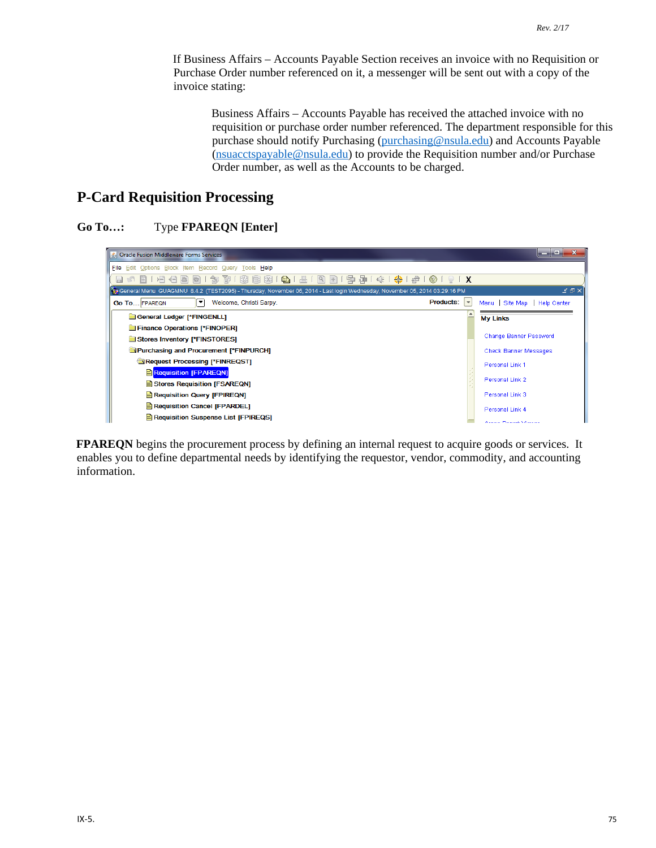If Business Affairs – Accounts Payable Section receives an invoice with no Requisition or Purchase Order number referenced on it, a messenger will be sent out with a copy of the invoice stating:

Business Affairs – Accounts Payable has received the attached invoice with no requisition or purchase order number referenced. The department responsible for this purchase should notify Purchasing [\(purchasing@nsula.edu\)](mailto:purchasing@nsula.edu) and Accounts Payable [\(nsuacctspayable@nsula.edu\)](mailto:nsuacctspayable@nsula.edu) to provide the Requisition number and/or Purchase Order number, as well as the Accounts to be charged.

# **P-Card Requisition Processing**

#### **Go To…:** Type **FPAREQN [Enter]**



**FPAREQN** begins the procurement process by defining an internal request to acquire goods or services. It enables you to define departmental needs by identifying the requestor, vendor, commodity, and accounting information.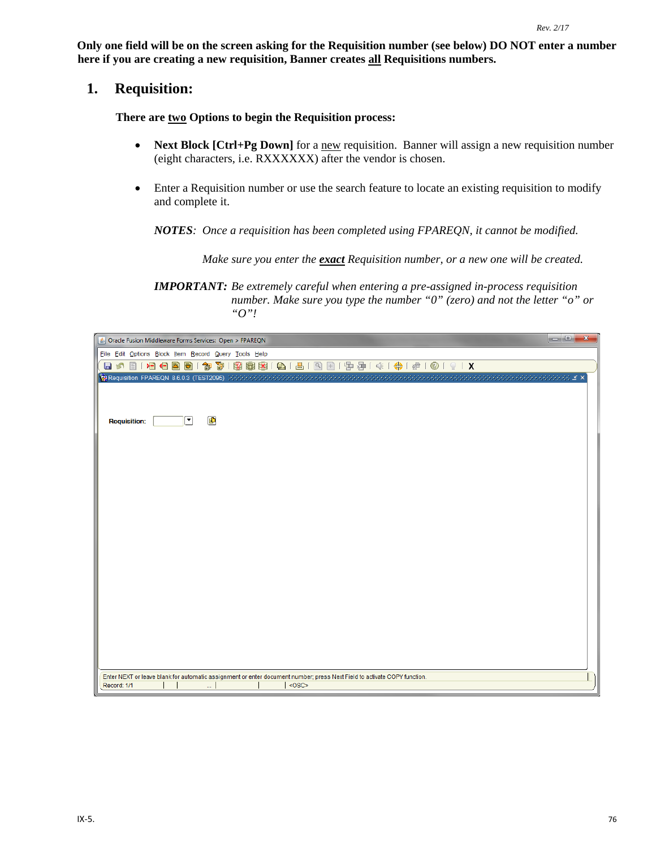**Only one field will be on the screen asking for the Requisition number (see below) DO NOT enter a number here if you are creating a new requisition, Banner creates all Requisitions numbers.** 

### **1. Requisition:**

**There are two Options to begin the Requisition process:** 

- **Next Block [Ctrl+Pg Down]** for a new requisition. Banner will assign a new requisition number (eight characters, i.e. RXXXXXX) after the vendor is chosen.
- Enter a Requisition number or use the search feature to locate an existing requisition to modify and complete it.

*NOTES: Once a requisition has been completed using FPAREQN, it cannot be modified.* 

*Make sure you enter the exact Requisition number, or a new one will be created.*

*IMPORTANT: Be extremely careful when entering a pre-assigned in-process requisition number. Make sure you type the number "0" (zero) and not the letter "o" or "O"!*

| $\Box$ e<br>Dracle Fusion Middleware Forms Services: Open > FPAREQN                                                      | $\mathbf{x}$ |
|--------------------------------------------------------------------------------------------------------------------------|--------------|
| Eile Edit Options Block Item Record Query Tools Help                                                                     |              |
| 日の101名日国国1参春180画图1日1日1日1日由1年春1年1年1月10191X                                                                                |              |
| Requisition FPAREQN 8.6.0.3 (TEST2095) MANAGAMANA                                                                        |              |
|                                                                                                                          |              |
|                                                                                                                          |              |
| 画<br>$\left[ \rule{0pt}{10pt}\right.$<br><b>Requisition:</b>                                                             |              |
|                                                                                                                          |              |
|                                                                                                                          |              |
|                                                                                                                          |              |
|                                                                                                                          |              |
|                                                                                                                          |              |
|                                                                                                                          |              |
|                                                                                                                          |              |
|                                                                                                                          |              |
|                                                                                                                          |              |
|                                                                                                                          |              |
|                                                                                                                          |              |
|                                                                                                                          |              |
|                                                                                                                          |              |
|                                                                                                                          |              |
|                                                                                                                          |              |
|                                                                                                                          |              |
|                                                                                                                          |              |
|                                                                                                                          |              |
| Enter NEXT or leave blank for automatic assignment or enter document number; press Next Field to activate COPY function. |              |
| <0SC><br>Record: 1/1<br>                                                                                                 |              |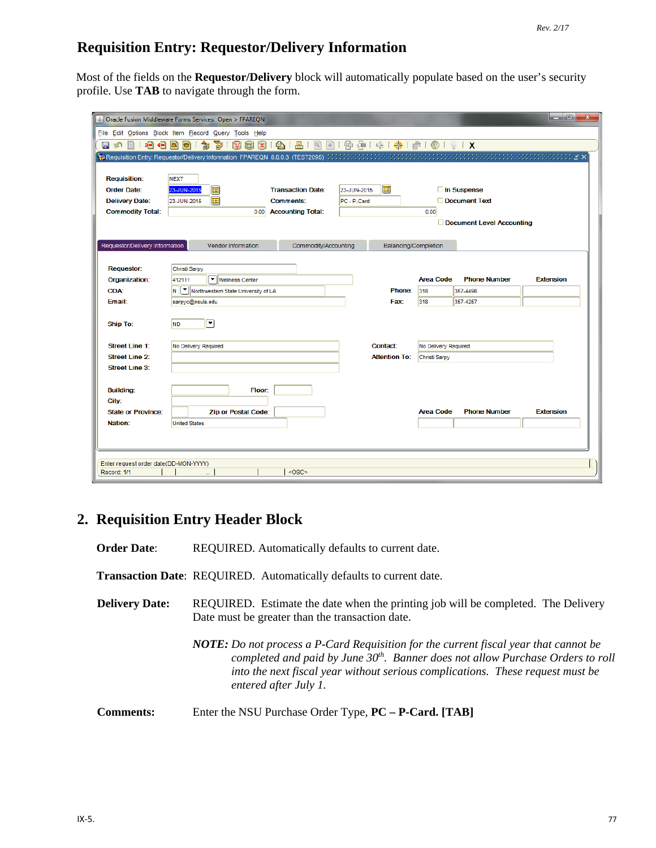# **Requisition Entry: Requestor/Delivery Information**

Most of the fields on the **Requestor/Delivery** block will automatically populate based on the user's security profile. Use **TAB** to navigate through the form.

|                                       | 6 Oracle Fusion Middleware Forms Services: Open > FPAREQN                                                              |                              |             |                      |                      |                           | ا قاره<br>$\mathbf{x}$ |
|---------------------------------------|------------------------------------------------------------------------------------------------------------------------|------------------------------|-------------|----------------------|----------------------|---------------------------|------------------------|
|                                       | File Edit Options Block Item Record Query Tools Help                                                                   |                              |             |                      |                      |                           |                        |
| 相信固<br>日の目                            | 面<br>  27  田  X  <br>匐<br>Ð                                                                                            | <b>●181回国1中津1余1+1图10191X</b> |             |                      |                      |                           |                        |
|                                       | <mark>C</mark> E Requisition Entry: Requestor/Delivery Information_FPAREQN_8.6.0.3(TEST2095)かかかかかかかかかかかかかかかいかかかいかかいかい。 |                              |             |                      |                      |                           |                        |
|                                       |                                                                                                                        |                              |             |                      |                      |                           |                        |
| <b>Requisition:</b>                   | <b>NEXT</b>                                                                                                            |                              |             |                      |                      |                           |                        |
| <b>Order Date:</b>                    | 23-JUN-2015<br>π                                                                                                       | <b>Transaction Date:</b>     | 23-JUN-2015 | 圖                    |                      | In Suspense               |                        |
| <b>Delivery Date:</b>                 | 匣<br>23-JUN-2015                                                                                                       | <b>Comments:</b>             | PC - P-Card |                      |                      | Document Text             |                        |
| <b>Commodity Total:</b>               | 0.00                                                                                                                   | <b>Accounting Total:</b>     |             |                      | 0.00                 |                           |                        |
|                                       |                                                                                                                        |                              |             |                      |                      | Document Level Accounting |                        |
|                                       | Vendor Information                                                                                                     |                              |             |                      |                      |                           |                        |
| Requestor/Delivery Information        |                                                                                                                        | Commodity/Accounting         |             | Balancing/Completion |                      |                           |                        |
| <b>Requestor:</b>                     | Christi Sarpy                                                                                                          |                              |             |                      |                      |                           |                        |
| Organization:                         | ▼ Wellness Center<br>412111                                                                                            |                              |             |                      | <b>Area Code</b>     | <b>Phone Number</b>       | <b>Extension</b>       |
| <b>COA:</b>                           | N   V   Northwestern State University of LA                                                                            |                              |             | Phone:               | 318                  | 357-4496                  |                        |
| Email:                                | sarpyc@nsula.edu                                                                                                       |                              |             | <b>Fax:</b>          | 318                  | 357-4257                  |                        |
|                                       |                                                                                                                        |                              |             |                      |                      |                           |                        |
| <b>Ship To:</b>                       | 회<br><b>ND</b>                                                                                                         |                              |             |                      |                      |                           |                        |
|                                       |                                                                                                                        |                              |             |                      |                      |                           |                        |
| <b>Street Line 1:</b>                 | No Delivery Required                                                                                                   |                              |             | Contact:             | No Delivery Required |                           |                        |
| <b>Street Line 2:</b>                 |                                                                                                                        |                              |             | <b>Attention To:</b> | Christi Sarpy        |                           |                        |
| <b>Street Line 3:</b>                 |                                                                                                                        |                              |             |                      |                      |                           |                        |
|                                       |                                                                                                                        |                              |             |                      |                      |                           |                        |
| <b>Building:</b>                      | Floor:                                                                                                                 |                              |             |                      |                      |                           |                        |
| City:                                 |                                                                                                                        |                              |             |                      | <b>Area Code</b>     | <b>Phone Number</b>       |                        |
| <b>State or Province:</b><br>Nation:  | <b>Zip or Postal Code:</b><br><b>United States</b>                                                                     |                              |             |                      |                      |                           | <b>Extension</b>       |
|                                       |                                                                                                                        |                              |             |                      |                      |                           |                        |
|                                       |                                                                                                                        |                              |             |                      |                      |                           |                        |
|                                       |                                                                                                                        |                              |             |                      |                      |                           |                        |
| Enter request order date(DD-MON-YYYY) |                                                                                                                        |                              |             |                      |                      |                           |                        |
| Record: 1/1                           |                                                                                                                        | <osc></osc>                  |             |                      |                      |                           |                        |

# **2. Requisition Entry Header Block**

**Order Date:** REQUIRED. Automatically defaults to current date. **Transaction Date**: REQUIRED. Automatically defaults to current date. **Delivery Date:** REQUIRED. Estimate the date when the printing job will be completed. The Delivery Date must be greater than the transaction date.

> *NOTE: Do not process a P-Card Requisition for the current fiscal year that cannot be completed and paid by June 30th. Banner does not allow Purchase Orders to roll into the next fiscal year without serious complications. These request must be entered after July 1.*

**Comments:** Enter the NSU Purchase Order Type, **PC – P-Card. [TAB]**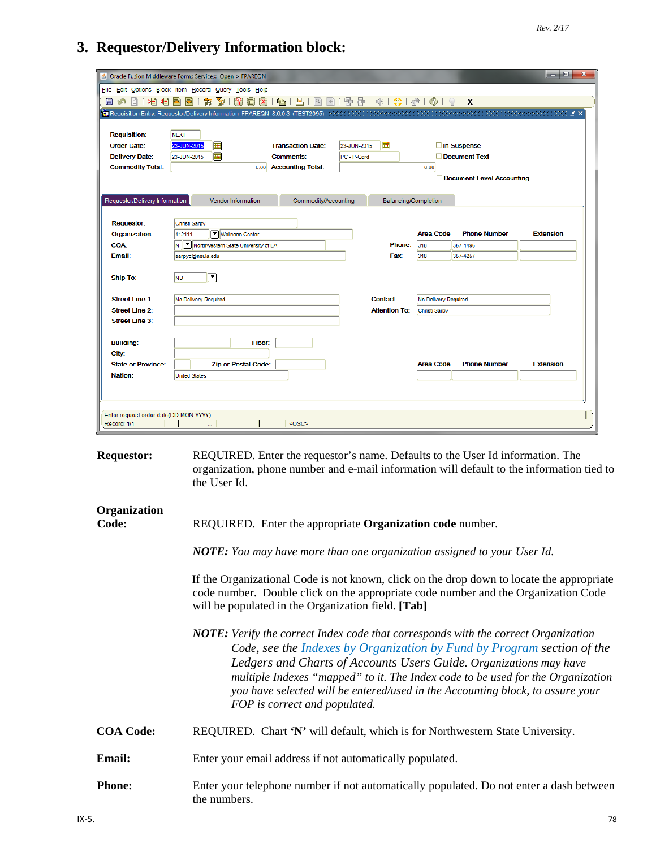# **3. Requestor/Delivery Information block:**

| 相相<br>H.<br>n<br><b>Requisition:</b><br><b>Order Date:</b><br><b>Delivery Date:</b><br><b>Commodity Total:</b> | S Oracle Fusion Middleware Forms Services: Open > FPAREQN<br>File Edit Options Block Item Record Query Tools Help<br>中国10100101X<br>$\bigoplus$<br>昌<br>$\mathbb{R}$<br>阁<br>$\mathbf{P}$<br>$\vert$ X<br>$+1$<br>b)<br>匐<br>圃<br>덕<br>Requisition Entry: Requestor/Delivery Information FPAREQN 8.6.0.3 (TEST2095)<br>$\mathbb{M} \leq \mathsf{X}$<br><b>NEXT</b><br>E<br>圃<br>In Suspense<br>23-JUN-2015<br><b>Transaction Date:</b><br>23-JUN-2015<br>圃<br>Document Text<br>23-JUN-2015<br>PC - P-Card<br><b>Comments:</b><br><b>Accounting Total:</b><br>0.00<br>0.00<br>Document Level Accounting |
|----------------------------------------------------------------------------------------------------------------|--------------------------------------------------------------------------------------------------------------------------------------------------------------------------------------------------------------------------------------------------------------------------------------------------------------------------------------------------------------------------------------------------------------------------------------------------------------------------------------------------------------------------------------------------------------------------------------------------------|
| Requestor/Delivery Information                                                                                 | Commodity/Accounting<br>Balancing/Completion<br><b>Vendor Information</b>                                                                                                                                                                                                                                                                                                                                                                                                                                                                                                                              |
| <b>Requestor:</b><br>Organization:                                                                             | Christi Sarpy<br>▼ Wellness Center<br>Area Code<br><b>Phone Number</b><br><b>Extension</b><br>412111                                                                                                                                                                                                                                                                                                                                                                                                                                                                                                   |
| <b>COA:</b><br>Email:                                                                                          | N  Vorthwestern State University of LA<br>Phone:<br>318<br>357-4496<br>318<br>Fax:<br>357-4257<br>sarpyc@nsula.edu                                                                                                                                                                                                                                                                                                                                                                                                                                                                                     |
| Ship To:<br><b>Street Line 1:</b><br><b>Street Line 2:</b><br><b>Street Line 3:</b>                            | ◥<br><b>ND</b><br>No Delivery Required<br>Contact:<br>No Delivery Required<br><b>Attention To:</b><br>Christi Sarpy                                                                                                                                                                                                                                                                                                                                                                                                                                                                                    |
| <b>Building:</b><br>City:<br><b>State or Province:</b>                                                         | Floor:<br><b>Area Code</b><br><b>Phone Number</b><br><b>Extension</b><br><b>Zip or Postal Code:</b>                                                                                                                                                                                                                                                                                                                                                                                                                                                                                                    |
| Nation:                                                                                                        | <b>United States</b>                                                                                                                                                                                                                                                                                                                                                                                                                                                                                                                                                                                   |
| Enter request order date(DD-MON-YYYY)<br>Record: 1/1                                                           | <osc></osc>                                                                                                                                                                                                                                                                                                                                                                                                                                                                                                                                                                                            |
| <b>Requestor:</b>                                                                                              | REQUIRED. Enter the requestor's name. Defaults to the User Id information. The<br>organization, phone number and e-mail information will default to the information tied to<br>the User Id.                                                                                                                                                                                                                                                                                                                                                                                                            |

# **Organization**

**Code:** REQUIRED. Enter the appropriate **Organization code** number.

*NOTE: You may have more than one organization assigned to your User Id.*

If the Organizational Code is not known, click on the drop down to locate the appropriate code number. Double click on the appropriate code number and the Organization Code will be populated in the Organization field. **[Tab]**

- *NOTE: Verify the correct Index code that corresponds with the correct Organization Code, see the Indexes by Organization by Fund by Program section of the Ledgers and Charts of Accounts Users Guide. Organizations may have multiple Indexes "mapped" to it. The Index code to be used for the Organization you have selected will be entered/used in the Accounting block, to assure your FOP is correct and populated.*
- **COA Code:** REQUIRED. Chart **'N'** will default, which is for Northwestern State University.
- **Email:** Enter your email address if not automatically populated.
- **Phone:** Enter your telephone number if not automatically populated. Do not enter a dash between the numbers.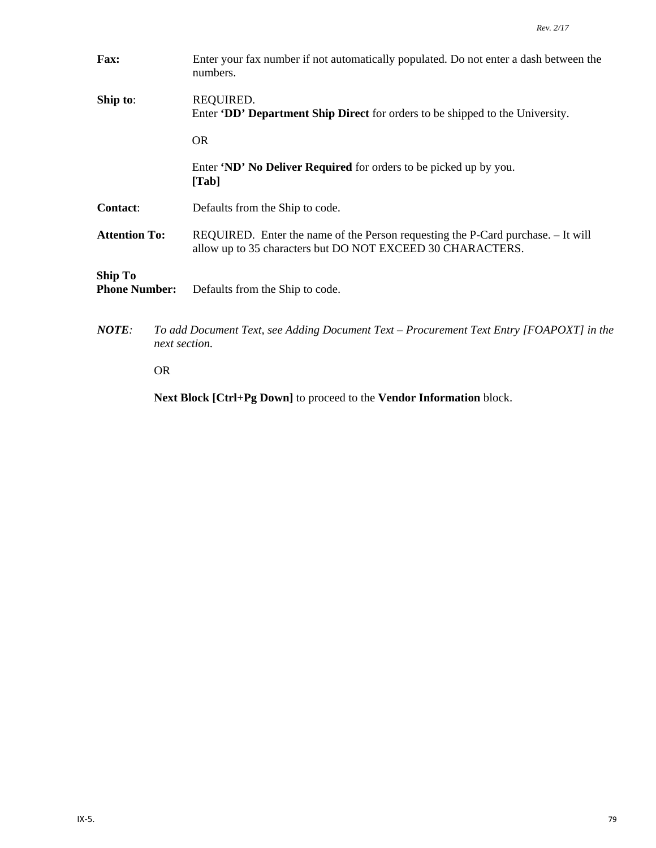| Fax:                                   |               | Enter your fax number if not automatically populated. Do not enter a dash between the<br>numbers.                                              |  |  |  |  |  |
|----------------------------------------|---------------|------------------------------------------------------------------------------------------------------------------------------------------------|--|--|--|--|--|
| Ship to:                               |               | REQUIRED.<br>Enter <b>DD' Department Ship Direct</b> for orders to be shipped to the University.                                               |  |  |  |  |  |
|                                        |               | <b>OR</b>                                                                                                                                      |  |  |  |  |  |
|                                        |               | Enter 'ND' No Deliver Required for orders to be picked up by you.<br>[Tab]                                                                     |  |  |  |  |  |
| <b>Contact:</b>                        |               | Defaults from the Ship to code.                                                                                                                |  |  |  |  |  |
| <b>Attention To:</b>                   |               | REQUIRED. Enter the name of the Person requesting the P-Card purchase. - It will<br>allow up to 35 characters but DO NOT EXCEED 30 CHARACTERS. |  |  |  |  |  |
| <b>Ship To</b><br><b>Phone Number:</b> |               | Defaults from the Ship to code.                                                                                                                |  |  |  |  |  |
| $NOTE$ :                               | next section. | To add Document Text, see Adding Document Text – Procurement Text Entry [FOAPOXT] in the                                                       |  |  |  |  |  |
|                                        | <b>OR</b>     |                                                                                                                                                |  |  |  |  |  |

**Next Block [Ctrl+Pg Down]** to proceed to the **Vendor Information** block.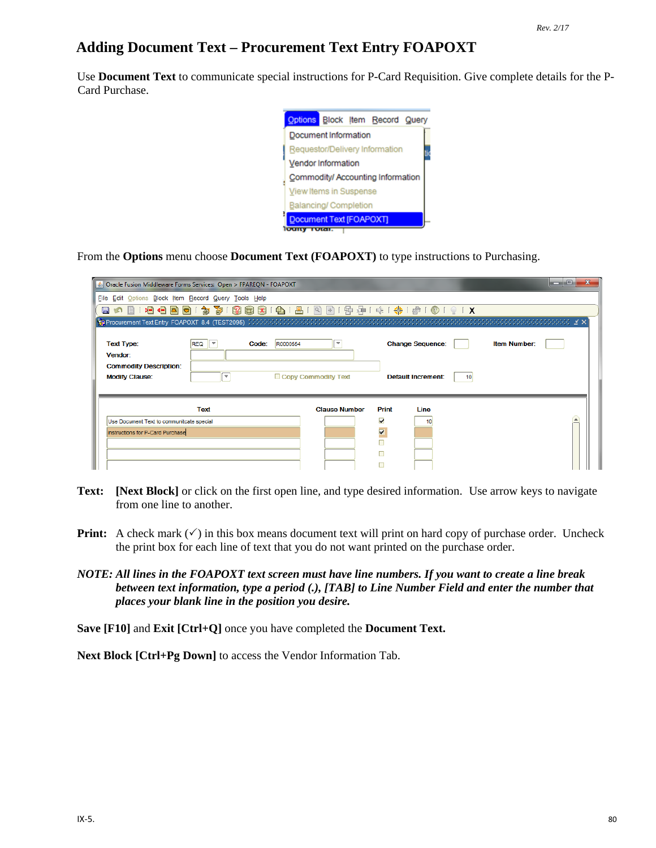# **Adding Document Text – Procurement Text Entry FOAPOXT**

Use **Document Text** to communicate special instructions for P-Card Requisition. Give complete details for the P-Card Purchase.



From the **Options** menu choose **Document Text (FOAPOXT)** to type instructions to Purchasing.

| Oracle Fusion Middleware Forms Services: Open > FPAREQN - FOAPOXT |                          |                   |                          |                         |                                              |                     | الهاردة |
|-------------------------------------------------------------------|--------------------------|-------------------|--------------------------|-------------------------|----------------------------------------------|---------------------|---------|
| File Edit Options Block Item Record Query Tools Help              |                          |                   |                          |                         |                                              |                     |         |
|                                                                   |                          |                   |                          |                         |                                              |                     |         |
|                                                                   |                          |                   |                          |                         |                                              |                     |         |
| <b>Text Type:</b><br>Vendor:                                      | <b>REQ</b><br>∣≂         | R0000554<br>Code: | $\overline{\phantom{a}}$ |                         | <b>Change Sequence:</b>                      | <b>Item Number:</b> |         |
| <b>Commodity Description:</b><br><b>Modify Clause:</b>            | $\overline{\phantom{a}}$ |                   | Copy Commodity Text      |                         | <b>Default Increment:</b><br>10 <sup>1</sup> |                     |         |
|                                                                   | Text                     |                   | <b>Clause Number</b>     | Print                   | Line                                         |                     |         |
| Use Document Text to communitcate special                         |                          |                   |                          | $\overline{\mathbf{v}}$ | 10                                           |                     |         |
| instructions for P-Card Purchase                                  |                          |                   |                          | V                       |                                              |                     |         |
|                                                                   |                          |                   |                          |                         |                                              |                     |         |
|                                                                   |                          |                   |                          | П                       |                                              |                     |         |
|                                                                   |                          |                   |                          |                         |                                              |                     |         |

- **Text: [Next Block]** or click on the first open line, and type desired information. Use arrow keys to navigate from one line to another.
- **Print:** A check mark  $(\checkmark)$  in this box means document text will print on hard copy of purchase order. Uncheck the print box for each line of text that you do not want printed on the purchase order.
- *NOTE: All lines in the FOAPOXT text screen must have line numbers. If you want to create a line break between text information, type a period (.), [TAB] to Line Number Field and enter the number that places your blank line in the position you desire.*

**Save [F10]** and **Exit [Ctrl+Q]** once you have completed the **Document Text.**

**Next Block [Ctrl+Pg Down]** to access the Vendor Information Tab.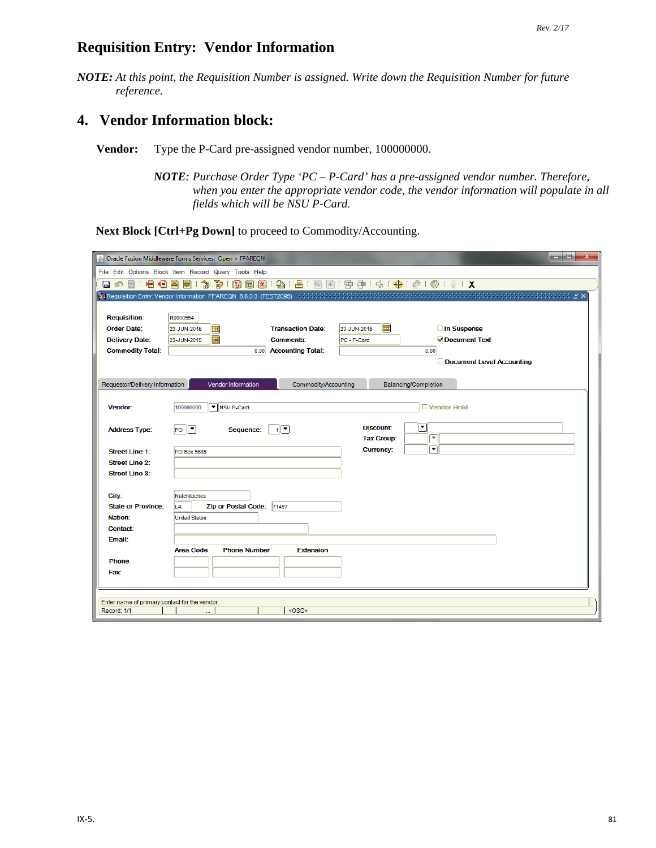# **Requisition Entry: Vendor Information**

*NOTE: At this point, the Requisition Number is assigned. Write down the Requisition Number for future reference.*

# **4. Vendor Information block:**

**Vendor:** Type the P-Card pre-assigned vendor number, 100000000.

*NOTE: Purchase Order Type 'PC – P-Card' has a pre-assigned vendor number. Therefore, when you enter the appropriate vendor code, the vendor information will populate in all fields which will be NSU P-Card.* 

**Next Block [Ctrl+Pg Down]** to proceed to Commodity/Accounting.

|                                                              | ا کار د<br>$\mathbf{x}$<br>& Oracle Fusion Middleware Forms Services: Open > FPAREQN                                                                                                        |
|--------------------------------------------------------------|---------------------------------------------------------------------------------------------------------------------------------------------------------------------------------------------|
|                                                              | File Edit Options Block Item Record Query Tools Help                                                                                                                                        |
| 日の日 相信日                                                      | 昌「図<br>中国101●1910161X<br>窗<br>99 8 9 1 4 1<br>$\Rightarrow$<br>御<br>호)                                                                                                                      |
|                                                              | <b>韓 Requisition Entry: Vendor Information FPAREQN 8.6.0.3 (TEST2095)</b> かかかかかかかかかかかかかかかかかかかかかかかかかかかかい ビング Mequisition Entry: Vendor Information FPAREQN 8.6.0.3 (TEST2095) かかかかかかかかかかいかかい |
|                                                              |                                                                                                                                                                                             |
| <b>Requisition:</b>                                          | R0000554                                                                                                                                                                                    |
| <b>Order Date:</b>                                           | 匣<br>Œ<br>In Suspense<br>23-JUN-2015<br><b>Transaction Date:</b><br>23-JUN-2015                                                                                                             |
| <b>Delivery Date:</b>                                        | 匣<br>Occument Text<br>23-JUN-2015<br>PC - P-Card<br><b>Comments:</b>                                                                                                                        |
| <b>Commodity Total:</b>                                      | 0.00 Accounting Total:<br>0.00<br>Document Level Accounting                                                                                                                                 |
|                                                              |                                                                                                                                                                                             |
| Requestor/Delivery Information                               | Commodity/Accounting<br>Balancing/Completion<br>Vendor Information                                                                                                                          |
|                                                              |                                                                                                                                                                                             |
| Vendor:                                                      | NSU P-Card<br>100000000<br>Vendor Hold                                                                                                                                                      |
|                                                              |                                                                                                                                                                                             |
| <b>Address Type:</b>                                         | ⊡<br><b>Discount:</b><br>$PO$ $\boxed{7}$<br>$\mathbf{1}$<br>Sequence:                                                                                                                      |
|                                                              | $\overline{\mathbf{v}}$<br><b>Tax Group:</b>                                                                                                                                                |
| <b>Street Line 1:</b>                                        | ▾<br><b>Currency:</b><br><b>PO Box 5685</b>                                                                                                                                                 |
| <b>Street Line 2:</b>                                        |                                                                                                                                                                                             |
| <b>Street Line 3:</b>                                        |                                                                                                                                                                                             |
|                                                              |                                                                                                                                                                                             |
| City:<br><b>State or Province:</b>                           | Natchitoches                                                                                                                                                                                |
| Nation:                                                      | <b>Zip or Postal Code:</b><br>71497<br>LA<br><b>United States</b>                                                                                                                           |
| Contact:                                                     |                                                                                                                                                                                             |
| Email:                                                       |                                                                                                                                                                                             |
|                                                              | <b>Area Code</b><br><b>Phone Number</b><br><b>Extension</b>                                                                                                                                 |
| Phone:                                                       |                                                                                                                                                                                             |
| <b>Fax:</b>                                                  |                                                                                                                                                                                             |
|                                                              |                                                                                                                                                                                             |
|                                                              |                                                                                                                                                                                             |
| Enter name of primary contact for the vendor.<br>Record: 1/1 | <0SC>                                                                                                                                                                                       |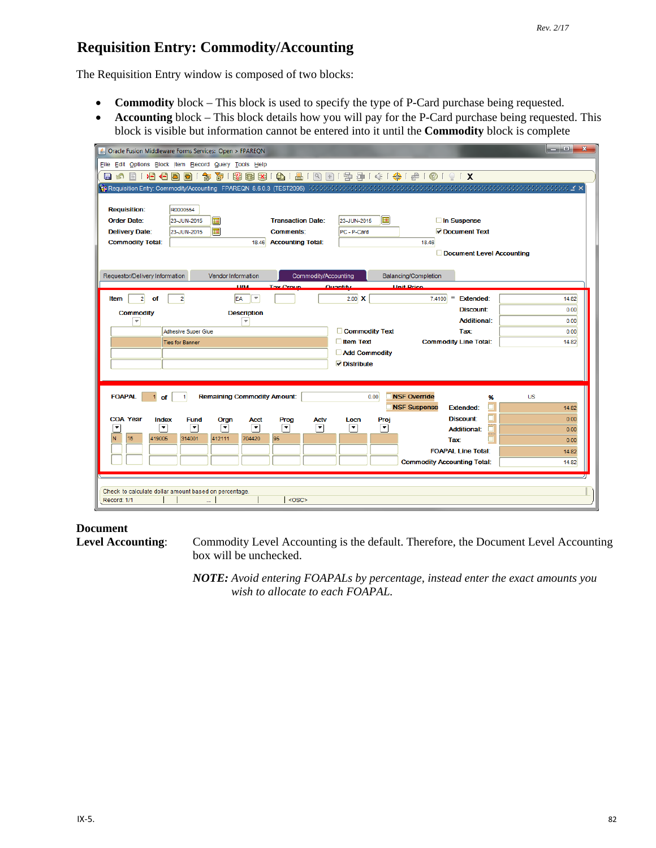# **Requisition Entry: Commodity/Accounting**

The Requisition Entry window is composed of two blocks:

- **Commodity** block This block is used to specify the type of P-Card purchase being requested.
- **Accounting** block This block details how you will pay for the P-Card purchase being requested. This block is visible but information cannot be entered into it until the **Commodity** block is complete

| ⋗⊟<br>¶€<br>目的<br>e<br><b>Requisition:</b><br><b>Order Date:</b><br><b>Delivery Date:</b><br><b>Commodity Total:</b> | Dracle Fusion Middleware Forms Services: Open > FPAREQN<br>File Edit Options Block Item Record Query Tools Help<br>寄<br>匍<br>R0000554<br>匣<br>23-JUN-2015<br>匣<br>23-JUN-2015 | <b>Transaction Date:</b><br><b>Comments:</b><br><b>Accounting Total:</b><br>18.46 | 圃<br>23-JUN-2015<br>PC - P-Card                 | 8 8 8 9 1 8 1 8 1 9 8 1 9 9 1 4 1 4 1 4 1 6 1 0 1 9 1 X<br><mark>(g) Requisition Entry: Commodity/Accounting 「FPAREQN_8.6.0.3(TEST2095)かかかかかかかかかかかかかかかかかかかかかかかかかいかないことになっています。 ミン</mark><br>In Suspense<br>Occument Text<br>18.46<br>Document Level Accounting | $\mathbf{x}$<br>a e |
|----------------------------------------------------------------------------------------------------------------------|-------------------------------------------------------------------------------------------------------------------------------------------------------------------------------|-----------------------------------------------------------------------------------|-------------------------------------------------|----------------------------------------------------------------------------------------------------------------------------------------------------------------------------------------------------------------------------------------------------------------|---------------------|
| Requestor/Delivery Information                                                                                       | Vendor Information<br><b>LI/M</b>                                                                                                                                             | Commodity/Accounting<br><b>Tay Croup</b>                                          | Quantity                                        | Balancing/Completion<br><b>Hait Prico</b>                                                                                                                                                                                                                      |                     |
| $\mathbf{2}$<br>of<br>Item                                                                                           | EA<br>$\overline{\mathbf{v}}$<br>$\mathbf{2}$                                                                                                                                 |                                                                                   | $2.00$ X                                        | Ξ<br><b>Extended:</b><br>7.4100                                                                                                                                                                                                                                | 14.82               |
| <b>Commodity</b>                                                                                                     | <b>Description</b>                                                                                                                                                            |                                                                                   |                                                 | Discount:                                                                                                                                                                                                                                                      | 0.00                |
| $\overline{\mathbf{v}}$                                                                                              | $\overline{\phantom{a}}$                                                                                                                                                      |                                                                                   |                                                 | <b>Additional:</b>                                                                                                                                                                                                                                             | 0.00                |
|                                                                                                                      | <b>Adhesive Super Glue</b>                                                                                                                                                    |                                                                                   | Commodity Text                                  | Tax:                                                                                                                                                                                                                                                           | 0.00                |
|                                                                                                                      | <b>Ties for Banner</b>                                                                                                                                                        |                                                                                   | $\Box$ Item Text<br>Add Commodity<br>Distribute | <b>Commodity Line Total:</b>                                                                                                                                                                                                                                   | 14.82               |
| <b>FOAPAL</b><br>of                                                                                                  | <b>Remaining Commodity Amount:</b>                                                                                                                                            |                                                                                   | 0.00                                            | <b>NSF Override</b><br>%<br><b>NSF Suspense</b><br><b>Extended:</b>                                                                                                                                                                                            | <b>US</b><br>14.82  |
| <b>COA Year</b><br>Index                                                                                             | <b>Fund</b><br>Orgn<br>Acct                                                                                                                                                   | Prog<br><b>Actv</b>                                                               | Proj<br>Locn                                    | Discount:                                                                                                                                                                                                                                                      | 0.00                |
| ٠<br>$\blacktriangledown$                                                                                            | $\overline{\phantom{a}}$<br>▼<br>▼                                                                                                                                            | ▼<br>О                                                                            | ▼<br>▼                                          | <b>Additional:</b>                                                                                                                                                                                                                                             | 0.00                |
| 15<br>N<br>419005                                                                                                    | 314001<br>412111<br>704420                                                                                                                                                    | 95                                                                                |                                                 | Tax                                                                                                                                                                                                                                                            | 0.00                |
|                                                                                                                      |                                                                                                                                                                               |                                                                                   |                                                 | <b>FOAPAL Line Total:</b>                                                                                                                                                                                                                                      | 14.82               |
|                                                                                                                      |                                                                                                                                                                               |                                                                                   |                                                 | <b>Commodity Accounting Total:</b>                                                                                                                                                                                                                             | 14.82               |
| Record: 1/1                                                                                                          | Check to calculate dollar amount based on percentage.                                                                                                                         | <0SC>                                                                             |                                                 |                                                                                                                                                                                                                                                                |                     |

**Document**<br>Level Accounting:

Commodity Level Accounting is the default. Therefore, the Document Level Accounting box will be unchecked.

*NOTE: Avoid entering FOAPALs by percentage, instead enter the exact amounts you wish to allocate to each FOAPAL.*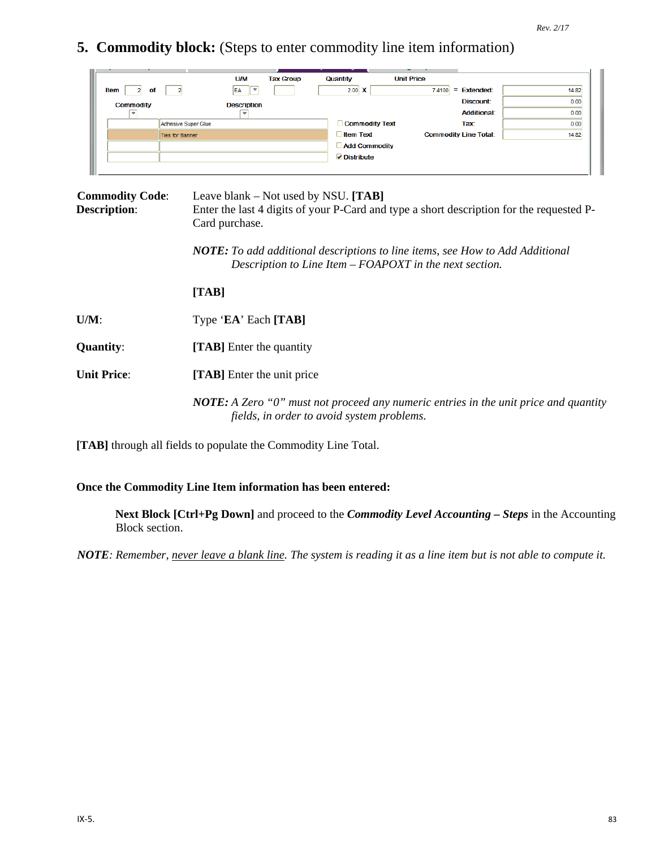**5. Commodity block:** (Steps to enter commodity line item information)

|                  | <b>U/M</b>             | <b>Tax Group</b> | Quantity              | <b>Unit Price</b> |                              |       |
|------------------|------------------------|------------------|-----------------------|-------------------|------------------------------|-------|
| Item<br>оf       | $\mathcal{L}$<br>EA    |                  | $2.00 \times$         | 7.4100            | <b>Extended:</b><br>$\equiv$ | 14.82 |
| <b>Commodity</b> | <b>Description</b>     |                  |                       |                   | <b>Discount:</b>             | 0.00  |
| <b>SIL</b>       |                        |                  |                       |                   | <b>Additional:</b>           | 0.00  |
|                  | Adhesive Super Glue    |                  | <b>Commodity Text</b> |                   | <b>Tax:</b>                  | 0.00  |
|                  | <b>Ties for Banner</b> |                  | <b>Item Text</b>      |                   | <b>Commodity Line Total:</b> | 14.82 |
|                  |                        |                  | <b>Add Commodity</b>  |                   |                              |       |
|                  |                        |                  | $\nabla$ Distribute   |                   |                              |       |
|                  |                        |                  |                       |                   |                              |       |

| <b>Commodity Code:</b><br><b>Description:</b> | Leave blank – Not used by NSU. $[TAB]$<br>Enter the last 4 digits of your P-Card and type a short description for the requested P-<br>Card purchase. |  |  |  |  |  |
|-----------------------------------------------|------------------------------------------------------------------------------------------------------------------------------------------------------|--|--|--|--|--|
|                                               | <b>NOTE:</b> To add additional descriptions to line items, see How to Add Additional<br>Description to Line Item – FOAPOXT in the next section.      |  |  |  |  |  |
|                                               | [TAB]                                                                                                                                                |  |  |  |  |  |
| $U/M$ :                                       | Type 'EA' Each [TAB]                                                                                                                                 |  |  |  |  |  |
| <b>Quantity:</b>                              | <b>[TAB]</b> Enter the quantity                                                                                                                      |  |  |  |  |  |
| <b>Unit Price:</b>                            | [TAB] Enter the unit price                                                                                                                           |  |  |  |  |  |
|                                               | <b>NOTE:</b> A Zero "0" must not proceed any numeric entries in the unit price and quantity<br>fields, in order to avoid system problems.            |  |  |  |  |  |

**[TAB]** through all fields to populate the Commodity Line Total.

### **Once the Commodity Line Item information has been entered:**

**Next Block [Ctrl+Pg Down]** and proceed to the *Commodity Level Accounting – Steps* in the Accounting Block section.

*NOTE: Remember, never leave a blank line. The system is reading it as a line item but is not able to compute it.*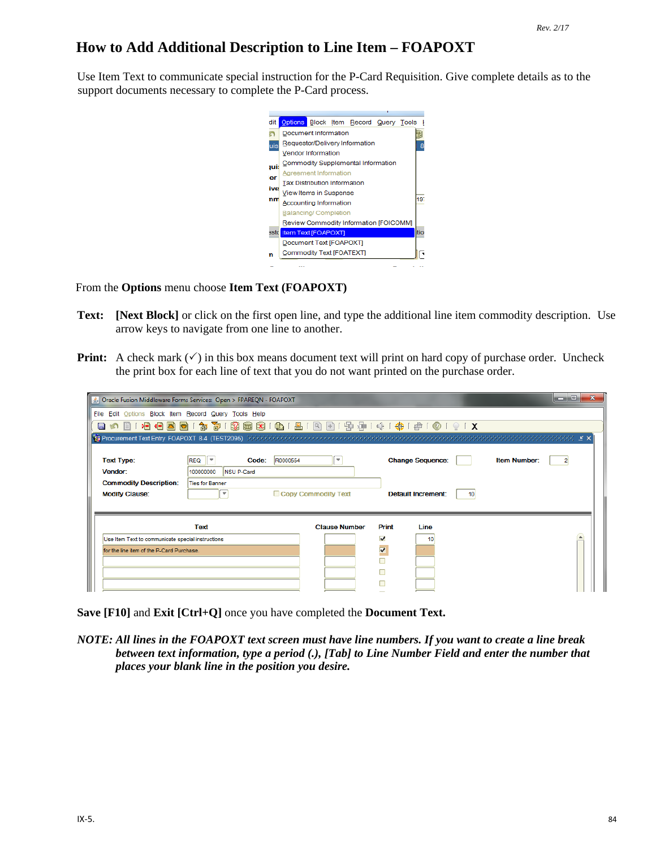# **How to Add Additional Description to Line Item – FOAPOXT**

Use Item Text to communicate special instruction for the P-Card Requisition. Give complete details as to the support documents necessary to complete the P-Card process.



From the **Options** menu choose **Item Text (FOAPOXT)**

- **Text: [Next Block]** or click on the first open line, and type the additional line item commodity description. Use arrow keys to navigate from one line to another.
- **Print:** A check mark  $(\checkmark)$  in this box means document text will print on hard copy of purchase order. Uncheck the print box for each line of text that you do not want printed on the purchase order.

|                                                        | △ Oracle Fusion Middleware Forms Services: Open > FPAREQN - FOAPOXT |                      |       |                                              | o<br>œ              |  |
|--------------------------------------------------------|---------------------------------------------------------------------|----------------------|-------|----------------------------------------------|---------------------|--|
| File Edit Options Block Item Record Query Tools Help   |                                                                     |                      |       |                                              |                     |  |
| DE 6-1<br>ð<br>H                                       | 句 印<br>$\mathbf{P}$<br><b>同 X</b><br>₹.                             |                      |       | ● 8 8 8 8 8 9 9 9 1 4 1 4 9 1 @ 1 @ 1 9 1 X  |                     |  |
|                                                        |                                                                     |                      |       |                                              |                     |  |
| <b>Text Type:</b><br>Vendor:                           | R0000554<br>$REQ$ $\tau$<br>Code:<br>100000000<br>NSU P-Card        | ▼                    |       | <b>Change Sequence:</b>                      | <b>Item Number:</b> |  |
| <b>Commodity Description:</b><br><b>Modify Clause:</b> | <b>Ties for Banner</b><br>$\overline{\phantom{a}}$                  | Copy Commodity Text  |       | <b>Default Increment:</b><br>10 <sup>1</sup> |                     |  |
|                                                        | <b>Text</b>                                                         | <b>Clause Number</b> | Print | Line                                         |                     |  |
| Use Item Text to communicate special instructions      |                                                                     |                      | ⊽     | 10                                           |                     |  |
| for the line item of the P-Card Purchase.              |                                                                     |                      | V     |                                              |                     |  |
|                                                        |                                                                     |                      |       |                                              |                     |  |
|                                                        |                                                                     |                      |       |                                              |                     |  |
|                                                        |                                                                     |                      |       |                                              |                     |  |

**Save [F10]** and **Exit [Ctrl+Q]** once you have completed the **Document Text.**

*NOTE: All lines in the FOAPOXT text screen must have line numbers. If you want to create a line break between text information, type a period (.), [Tab] to Line Number Field and enter the number that places your blank line in the position you desire.*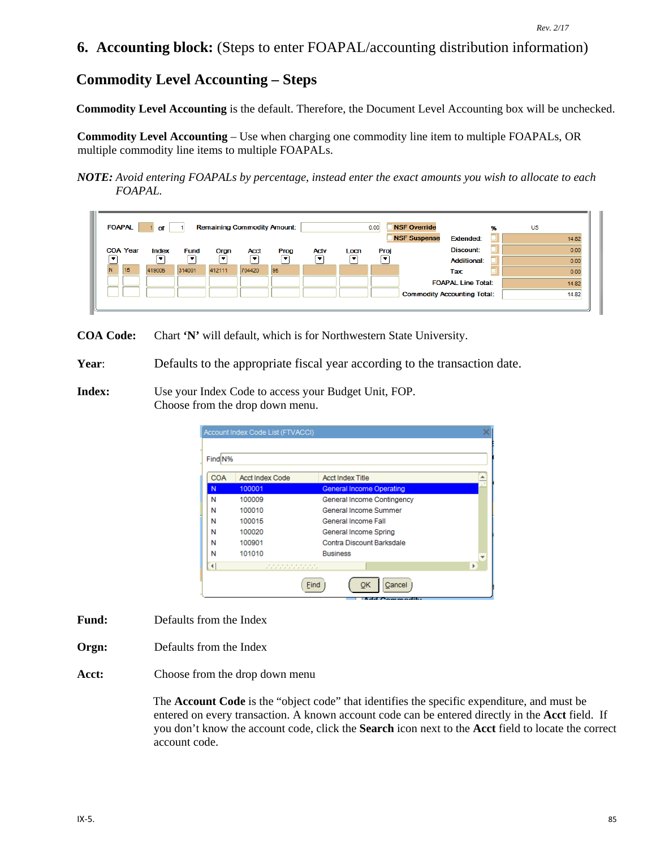# **6. Accounting block:** (Steps to enter FOAPAL/accounting distribution information)

# **Commodity Level Accounting – Steps**

**Commodity Level Accounting** is the default. Therefore, the Document Level Accounting box will be unchecked.

**Commodity Level Accounting** – Use when charging one commodity line item to multiple FOAPALs, OR multiple commodity line items to multiple FOAPALs.

*NOTE: Avoid entering FOAPALs by percentage, instead enter the exact amounts you wish to allocate to each FOAPAL.*

|   | <b>NSF Override</b><br><b>FOAPAL</b><br><b>Remaining Commodity Amount:</b><br>0.00<br>US<br>96<br>of<br><b>NSF Suspense</b><br><b>Extended:</b><br>14.82 |                                   |                                         |           |                  |      |                  |            |           |                                                                 |                |
|---|----------------------------------------------------------------------------------------------------------------------------------------------------------|-----------------------------------|-----------------------------------------|-----------|------------------|------|------------------|------------|-----------|-----------------------------------------------------------------|----------------|
|   | <b>COA Year</b><br>$\bullet$                                                                                                                             | Index<br>$\overline{\phantom{a}}$ | <b>Fund</b><br>$\overline{\phantom{a}}$ | Orgn<br>۰ | <b>Acct</b><br>▾ | Prog | <b>Actv</b><br>۰ | Locn<br>۰. | Proj<br>٠ | Discount:<br><b>Additional:</b>                                 | 0.00<br>0.00   |
| N | 15                                                                                                                                                       | 419005                            | 314001                                  | 412111    | 704420           | 95   |                  |            |           | Tax:                                                            | 0.00           |
|   |                                                                                                                                                          |                                   |                                         |           |                  |      |                  |            |           | <b>FOAPAL Line Total:</b><br><b>Commodity Accounting Total:</b> | 14.82<br>14.82 |
|   |                                                                                                                                                          |                                   |                                         |           |                  |      |                  |            |           |                                                                 |                |

**COA Code:** Chart **'N'** will default, which is for Northwestern State University.

**Year**: Defaults to the appropriate fiscal year according to the transaction date.

**Index:** Use your Index Code to access your Budget Unit, FOP. Choose from the drop down menu.

|                      | Account Index Code List (FTVACCI)                |                                 |                         |
|----------------------|--------------------------------------------------|---------------------------------|-------------------------|
| Find N%              |                                                  |                                 |                         |
|                      |                                                  |                                 |                         |
| <b>COA</b>           | <b>Acct Index Code</b>                           | <b>Acct Index Title</b>         |                         |
| N                    | 100001                                           | <b>General Income Operating</b> |                         |
| N                    | 100009                                           | General Income Contingency      |                         |
| Ν                    | 100010                                           | General Income Summer           |                         |
| Ν                    | 100015                                           | General Income Fall             |                         |
| Ν                    | 100020                                           | General Income Spring           |                         |
| Ν                    | 100901                                           | Contra Discount Barksdale       |                         |
| Ν                    | 101010                                           | <b>Business</b>                 | $\overline{\mathbf{v}}$ |
| $\blacktriangleleft$ | , , , , , , , , , , ,<br>, , , , , , , , , , , , |                                 | Þ                       |
|                      |                                                  | Cancel<br>ОΚ<br>Find            |                         |

- **Fund:** Defaults from the Index
- **Orgn:** Defaults from the Index
- **Acct:** Choose from the drop down menu

The **Account Code** is the "object code" that identifies the specific expenditure, and must be entered on every transaction. A known account code can be entered directly in the **Acct** field. If you don't know the account code, click the **Search** icon next to the **Acct** field to locate the correct account code.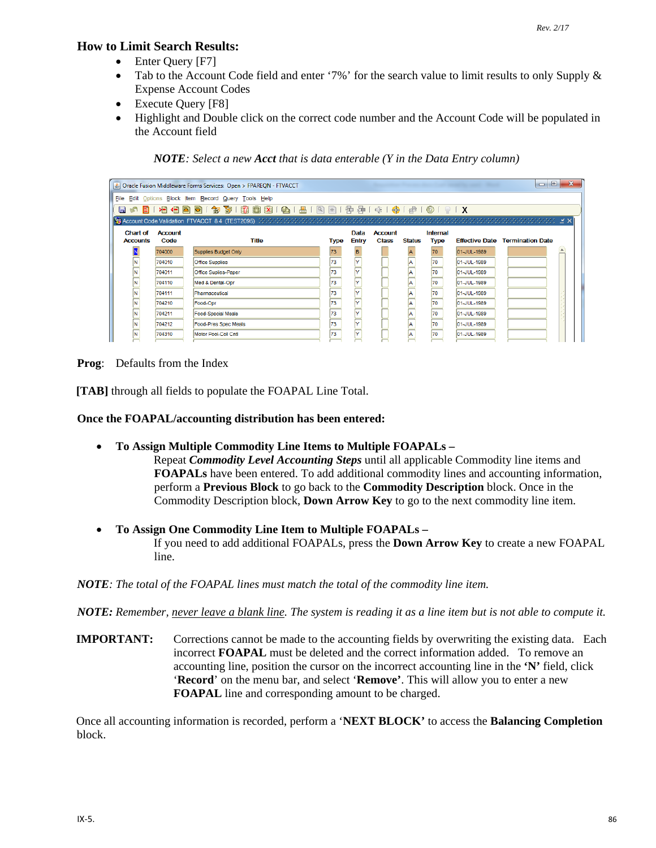#### **How to Limit Search Results:**

- Enter Query [F7]
- Tab to the Account Code field and enter '7%' for the search value to limit results to only Supply & Expense Account Codes
- Execute Query [F8]
- Highlight and Double click on the correct code number and the Account Code will be populated in the Account field

*NOTE: Select a new Acct that is data enterable (Y in the Data Entry column)*

| $\Box$<br>Oracle Fusion Middleware Forms Services: Open > FPAREQN - FTVACCT |                                                                                    |                             |             |              | $\mathbf{x}$   |               |             |             |                                        |  |
|-----------------------------------------------------------------------------|------------------------------------------------------------------------------------|-----------------------------|-------------|--------------|----------------|---------------|-------------|-------------|----------------------------------------|--|
|                                                                             | File Edit Options Block Item Record Query Tools Help                               |                             |             |              |                |               |             |             |                                        |  |
|                                                                             | 日 10 日 1 月 1 日 日 日 日 1 岁 1 数 日 故 1 日 1 日 1 日 1 日 日 1 中 1 ホ 1 キ 1 や 1 め 1 0 1 0 1 0 |                             |             |              |                |               |             |             |                                        |  |
|                                                                             |                                                                                    |                             |             |              |                |               |             |             |                                        |  |
| <b>Chart of</b>                                                             | <b>Account</b>                                                                     |                             |             | Data         | <b>Account</b> |               | Internal    |             |                                        |  |
| <b>Accounts</b>                                                             | Code                                                                               | <b>Title</b>                | <b>Type</b> | <b>Entry</b> | <b>Class</b>   | <b>Status</b> | <b>Type</b> |             | <b>Effective Date Termination Date</b> |  |
|                                                                             | 704000                                                                             | Supplies Budget Only        | 73          | B.           |                |               | 70          | 01-JUL-1989 |                                        |  |
|                                                                             | 704010                                                                             | <b>Office Supplies</b>      | 73          | l۷           |                | lA.           | 70          | 01-JUL-1989 |                                        |  |
| Ñ                                                                           | 704011                                                                             | <b>Office Suplies-Paper</b> | 73          |              |                |               | 70          | 01-JUL-1989 |                                        |  |
| N                                                                           | 704110                                                                             | Med & Dental-Opr            | 73          | l۷           |                | A             | 70          | 01-JUL-1989 |                                        |  |
| N                                                                           | 704111                                                                             | Pharmaceutical              | 73          | l۷           |                | A             | 70          | 01-JUL-1989 |                                        |  |
| N                                                                           | 704210                                                                             | Food-Opr                    | 73          | l۷           |                | A             | 70          | 01-JUL-1989 |                                        |  |
| N                                                                           | 704211                                                                             | <b>Food-Special Meals</b>   | 73          | l۷           |                | A             | 70          | 01-JUL-1989 |                                        |  |
| N                                                                           | 704212                                                                             | Food-Pres Spec Meals        | 73          | l۷           |                | la.           | 70          | 01-JUL-1989 |                                        |  |
| N                                                                           | 704310                                                                             | Motor Pool-Coll Cntl        | 73          | l۷           |                | la            | 70          | 01-JUL-1989 |                                        |  |

**Prog**: Defaults from the Index

**[TAB]** through all fields to populate the FOAPAL Line Total.

#### **Once the FOAPAL/accounting distribution has been entered:**

• **To Assign Multiple Commodity Line Items to Multiple FOAPALs –**

Repeat *Commodity Level Accounting Steps* until all applicable Commodity line items and **FOAPALs** have been entered. To add additional commodity lines and accounting information, perform a **Previous Block** to go back to the **Commodity Description** block. Once in the Commodity Description block, **Down Arrow Key** to go to the next commodity line item.

• **To Assign One Commodity Line Item to Multiple FOAPALs –** If you need to add additional FOAPALs, press the **Down Arrow Key** to create a new FOAPAL line.

*NOTE: The total of the FOAPAL lines must match the total of the commodity line item.*

*NOTE: Remember, never leave a blank line. The system is reading it as a line item but is not able to compute it.* 

**IMPORTANT:** Corrections cannot be made to the accounting fields by overwriting the existing data. Each incorrect **FOAPAL** must be deleted and the correct information added. To remove an accounting line, position the cursor on the incorrect accounting line in the **'N'** field, click '**Record**' on the menu bar, and select '**Remove'**. This will allow you to enter a new **FOAPAL** line and corresponding amount to be charged.

Once all accounting information is recorded, perform a '**NEXT BLOCK'** to access the **Balancing Completion** block.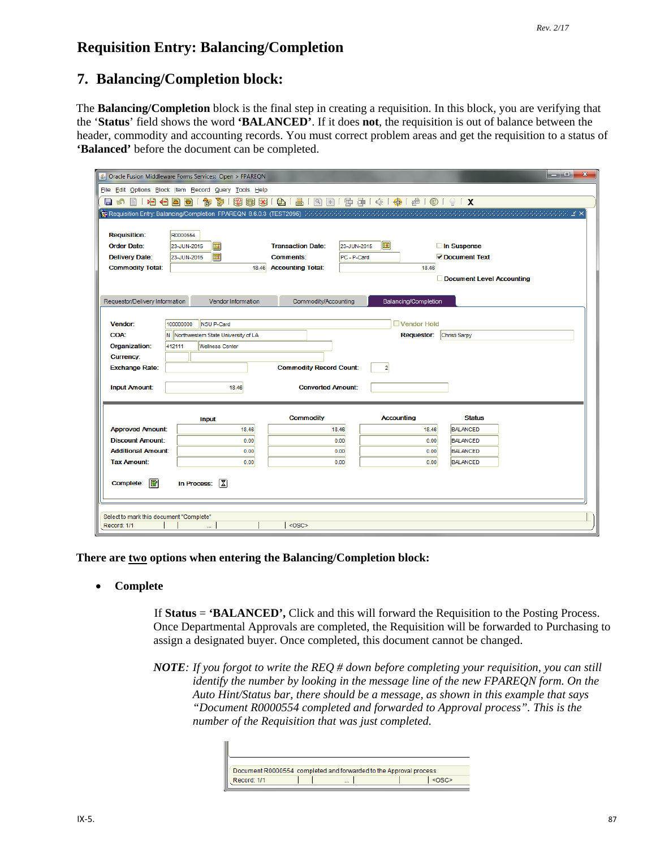# **Requisition Entry: Balancing/Completion**

# **7. Balancing/Completion block:**

The **Balancing/Completion** block is the final step in creating a requisition. In this block, you are verifying that the '**Status**' field shows the word **'BALANCED'**. If it does **not**, the requisition is out of balance between the header, commodity and accounting records. You must correct problem areas and get the requisition to a status of **'Balanced'** before the document can be completed.

| $\overline{\mathbf{x}}$<br>أواص<br>& Oracle Fusion Middleware Forms Services: Open > FPAREQN |                                                                                                                                                    |                                                   |                          |                           |  |  |  |
|----------------------------------------------------------------------------------------------|----------------------------------------------------------------------------------------------------------------------------------------------------|---------------------------------------------------|--------------------------|---------------------------|--|--|--|
| File Edit Options Block Item Record Query Tools Help                                         |                                                                                                                                                    |                                                   |                          |                           |  |  |  |
| BIHGBB<br>目め                                                                                 | 卻                                                                                                                                                  | 3 19 19 19 14 14 15 17 18 18 18 18 18 18 19 19 10 |                          |                           |  |  |  |
|                                                                                              | <b>De Requisition Entry: Balancing/Completion FPAREQN 8.6.0.3 (TEST2095)</b> (2010) (2010) (2010) (2010) (2010) (2010) (2010) (2010) (2010) (2010) |                                                   |                          |                           |  |  |  |
|                                                                                              |                                                                                                                                                    |                                                   |                          |                           |  |  |  |
| <b>Requisition:</b>                                                                          | R0000554                                                                                                                                           |                                                   |                          |                           |  |  |  |
| Order Date:                                                                                  | 圃<br>23-JUN-2015                                                                                                                                   | <b>Transaction Date:</b>                          | 匣<br>23-JUN-2015         | □ In Suspense             |  |  |  |
| <b>Delivery Date:</b>                                                                        | $\blacksquare$<br>23-JUN-2015                                                                                                                      | <b>Comments:</b><br>PC - P-Card                   |                          | Occument Text             |  |  |  |
| <b>Commodity Total:</b>                                                                      | 18.46                                                                                                                                              | <b>Accounting Total:</b>                          | 18.46                    |                           |  |  |  |
|                                                                                              |                                                                                                                                                    |                                                   |                          | Document Level Accounting |  |  |  |
|                                                                                              |                                                                                                                                                    |                                                   |                          |                           |  |  |  |
| Requestor/Delivery Information                                                               | Vendor Information                                                                                                                                 | Commodity/Accounting                              | Balancing/Completion     |                           |  |  |  |
| Vendor:                                                                                      | 100000000<br><b>NSU P-Card</b>                                                                                                                     |                                                   | Vendor Hold              |                           |  |  |  |
| <b>COA:</b>                                                                                  | N Northwestern State University of LA                                                                                                              |                                                   | Christi Sarpy            |                           |  |  |  |
| Organization:                                                                                | 412111<br><b>Wellness Center</b>                                                                                                                   |                                                   | <b>Requestor:</b>        |                           |  |  |  |
| <b>Currency:</b>                                                                             |                                                                                                                                                    |                                                   |                          |                           |  |  |  |
| <b>Exchange Rate:</b>                                                                        |                                                                                                                                                    | <b>Commodity Record Count:</b>                    | $\overline{2}$           |                           |  |  |  |
|                                                                                              |                                                                                                                                                    |                                                   |                          |                           |  |  |  |
| <b>Input Amount:</b>                                                                         | 18.46                                                                                                                                              |                                                   | <b>Converted Amount:</b> |                           |  |  |  |
|                                                                                              |                                                                                                                                                    |                                                   |                          |                           |  |  |  |
|                                                                                              | <b>Input</b>                                                                                                                                       | <b>Commodity</b>                                  | <b>Accounting</b>        | <b>Status</b>             |  |  |  |
| <b>Approved Amount:</b>                                                                      | 18.46                                                                                                                                              | 18.46                                             | 18.46                    | BALANCED                  |  |  |  |
| <b>Discount Amount:</b>                                                                      | 0.00                                                                                                                                               | 0.00                                              | 0.00                     | <b>BALANCED</b>           |  |  |  |
| <b>Additional Amount:</b>                                                                    | 0.00                                                                                                                                               | 0.00                                              | 0.00                     | <b>BALANCED</b>           |  |  |  |
| <b>Tax Amount:</b>                                                                           | 0.00                                                                                                                                               | 0.00                                              | 0.00                     | <b>BALANCED</b>           |  |  |  |
| 國<br>$\sqrt{2}$<br>Complete:<br>In Process:                                                  |                                                                                                                                                    |                                                   |                          |                           |  |  |  |
| Select to mark this document "Complete"                                                      |                                                                                                                                                    |                                                   |                          |                           |  |  |  |
| <0SC><br>Record: 1/1                                                                         |                                                                                                                                                    |                                                   |                          |                           |  |  |  |

**There are two options when entering the Balancing/Completion block:**

• **Complete**

If **Status** = **'BALANCED',** Click and this will forward the Requisition to the Posting Process. Once Departmental Approvals are completed, the Requisition will be forwarded to Purchasing to assign a designated buyer. Once completed, this document cannot be changed.

*NOTE: If you forgot to write the REQ # down before completing your requisition, you can still identify the number by looking in the message line of the new FPAREQN form. On the Auto Hint/Status bar, there should be a message, as shown in this example that says "Document R0000554 completed and forwarded to Approval process". This is the number of the Requisition that was just completed.*

| Document R0000554 completed and forwarded to the Approval process |  |  |  |  |  |  |
|-------------------------------------------------------------------|--|--|--|--|--|--|
| Record: 1/1                                                       |  |  |  |  |  |  |
|                                                                   |  |  |  |  |  |  |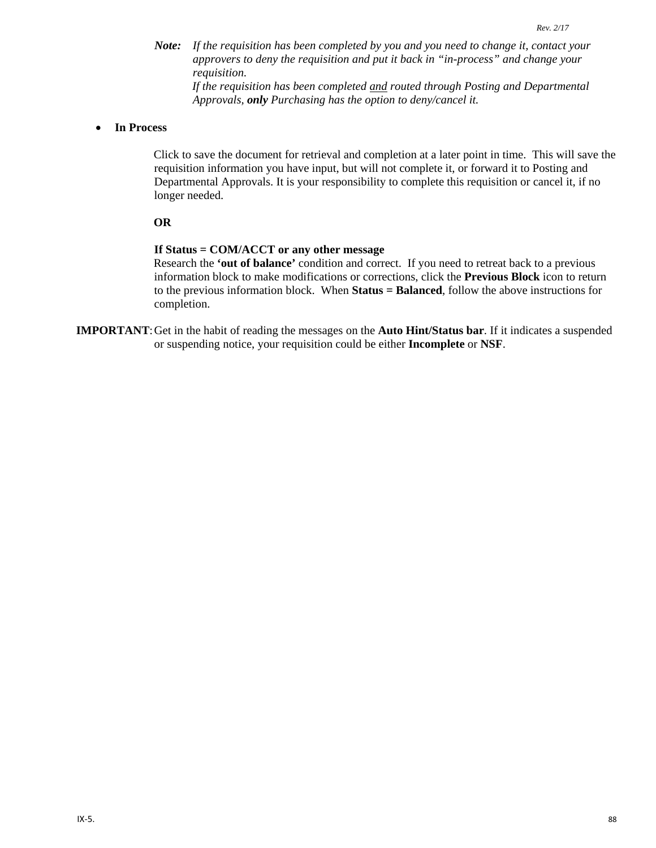*Note: If the requisition has been completed by you and you need to change it, contact your approvers to deny the requisition and put it back in "in-process" and change your requisition.* 

*If the requisition has been completed and routed through Posting and Departmental Approvals, only Purchasing has the option to deny/cancel it.* 

#### • **In Process**

Click to save the document for retrieval and completion at a later point in time. This will save the requisition information you have input, but will not complete it, or forward it to Posting and Departmental Approvals. It is your responsibility to complete this requisition or cancel it, if no longer needed.

#### **OR**

#### **If Status = COM/ACCT or any other message**

Research the **'out of balance'** condition and correct. If you need to retreat back to a previous information block to make modifications or corrections, click the **Previous Block** icon to return to the previous information block. When **Status = Balanced**, follow the above instructions for completion.

**IMPORTANT**:Get in the habit of reading the messages on the **Auto Hint/Status bar**. If it indicates a suspended or suspending notice, your requisition could be either **Incomplete** or **NSF**.